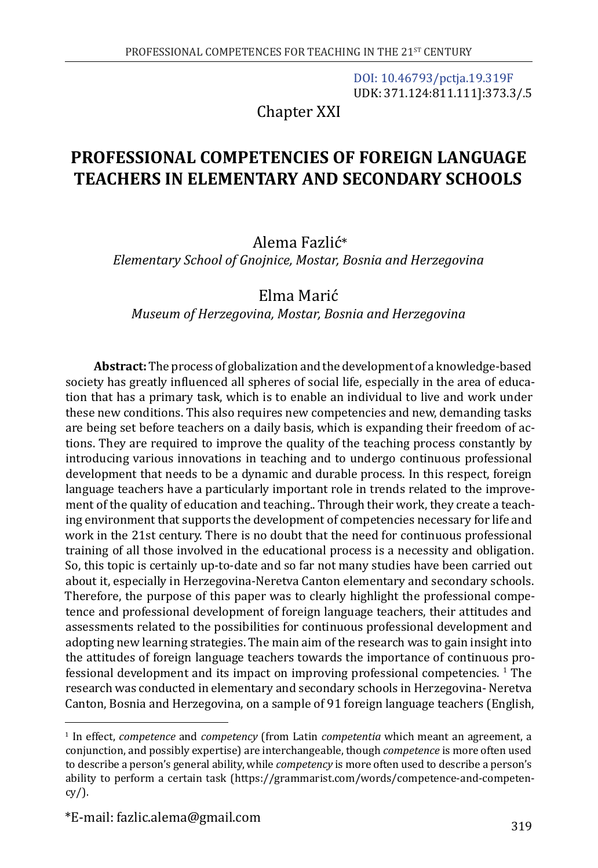[DOI: 10.46793/pctja.19.319F](https://doi.org/10.46793/pctja.19.319F) UDK: 371.124:811.111]:373.3/.5

Chapter XXI

# **PROFESSIONAL COMPETENCIES OF FOREIGN LANGUAGE TEACHERS IN ELEMENTARY AND SECONDARY SCHOOLS**

# Alema Fazlić\*

*Elementary School of Gnojnice, Mostar, Bosnia and Herzegovina*

# Elma Marić

*Museum of Herzegovina, Mostar, Bosnia and Herzegovina*

**Abstract:** The process of globalization and the development of a knowledge-based society has greatly influenced all spheres of social life, especially in the area of education that has a primary task, which is to enable an individual to live and work under these new conditions. This also requires new competencies and new, demanding tasks are being set before teachers on a daily basis, which is expanding their freedom of actions. They are required to improve the quality of the teaching process constantly by introducing various innovations in teaching and to undergo continuous professional development that needs to be a dynamic and durable process. In this respect, foreign language teachers have a particularly important role in trends related to the improvement of the quality of education and teaching.. Through their work, they create a teaching environment that supports the development of competencies necessary for life and work in the 21st century. There is no doubt that the need for continuous professional training of all those involved in the educational process is a necessity and obligation. So, this topic is certainly up-to-date and so far not many studies have been carried out about it, especially in Herzegovina-Neretva Canton elementary and secondary schools. Therefore, the purpose of this paper was to clearly highlight the professional competence and professional development of foreign language teachers, their attitudes and assessments related to the possibilities for continuous professional development and adopting new learning strategies. The main aim of the research was to gain insight into the attitudes of foreign language teachers towards the importance of continuous professional development and its impact on improving professional competencies. <sup>1</sup> The research was conducted in elementary and secondary schools in Herzegovina- Neretva Canton, Bosnia and Herzegovina, on a sample of 91 foreign language teachers (English,

<sup>1</sup> In effect, *competence* and *competency* (from Latin *competentia* which meant an agreement, a conjunction, and possibly expertise) are interchangeable, though *competence* is more often used to describe a person's general ability, while *competency* is more often used to describe a person's ability to perform a certain task ([https://grammarist.com/words/competence-and-competen-](https://grammarist.com/words/competence-and-competency/) $\frac{\text{cy}}{\text{c}y}$ .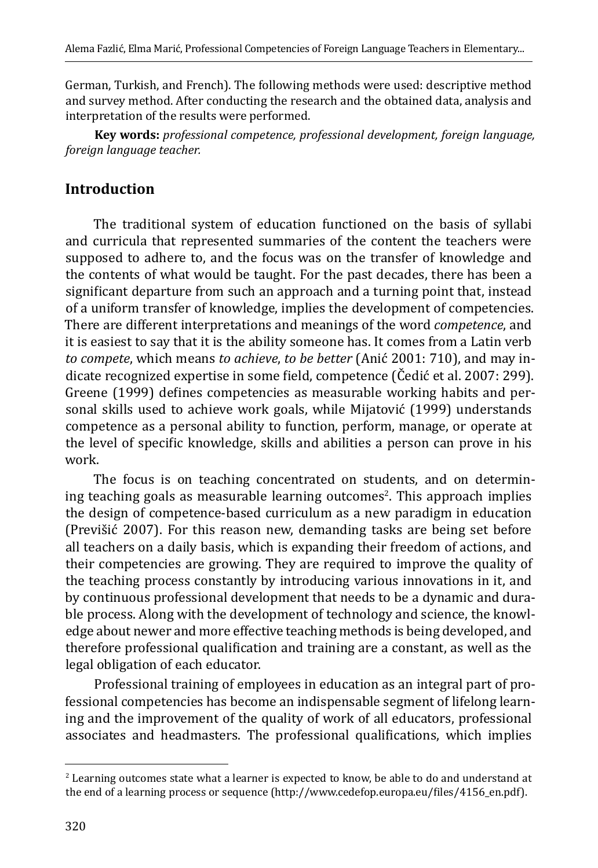German, Turkish, and French). The following methods were used: descriptive method and survey method. After conducting the research and the obtained data, analysis and interpretation of the results were performed.

**Key words:** *professional competence, professional development, foreign language, foreign language teacher.*

# **Introduction**

The traditional system of education functioned on the basis of syllabi and curricula that represented summaries of the content the teachers were supposed to adhere to, and the focus was on the transfer of knowledge and the contents of what would be taught. For the past decades, there has been a significant departure from such an approach and a turning point that, instead of a uniform transfer of knowledge, implies the development of competencies. There are different interpretations and meanings of the word *competence*, and it is easiest to say that it is the ability someone has. It comes from a Latin verb *to compete*, which means *to achieve*, *to be better* (Anić 2001: 710), and may indicate recognized expertise in some field, competence (Čedić et al. 2007: 299). Greene (1999) defines competencies as measurable working habits and personal skills used to achieve work goals, while Mijatović (1999) understands competence as a personal ability to function, perform, manage, or operate at the level of specific knowledge, skills and abilities a person can prove in his work.

The focus is on teaching concentrated on students, and on determining teaching goals as measurable learning outcomes<sup>2</sup>. This approach implies the design of competence-based curriculum as a new paradigm in education (Previšić 2007). For this reason new, demanding tasks are being set before all teachers on a daily basis, which is expanding their freedom of actions, and their competencies are growing. They are required to improve the quality of the teaching process constantly by introducing various innovations in it, and by continuous professional development that needs to be a dynamic and durable process. Along with the development of technology and science, the knowledge about newer and more effective teaching methods is being developed, and therefore professional qualification and training are a constant, as well as the legal obligation of each educator.

Professional training of employees in education as an integral part of professional competencies has become an indispensable segment of lifelong learning and the improvement of the quality of work of all educators, professional associates and headmasters. The professional qualifications, which implies

<sup>2</sup> Learning outcomes state what a learner is expected to know, be able to do and understand at the end of a learning process or sequence [\(http://www.cedefop.europa.eu/files/4156\\_en.pdf\)](http://www.cedefop.europa.eu/files/4156_en.pdf).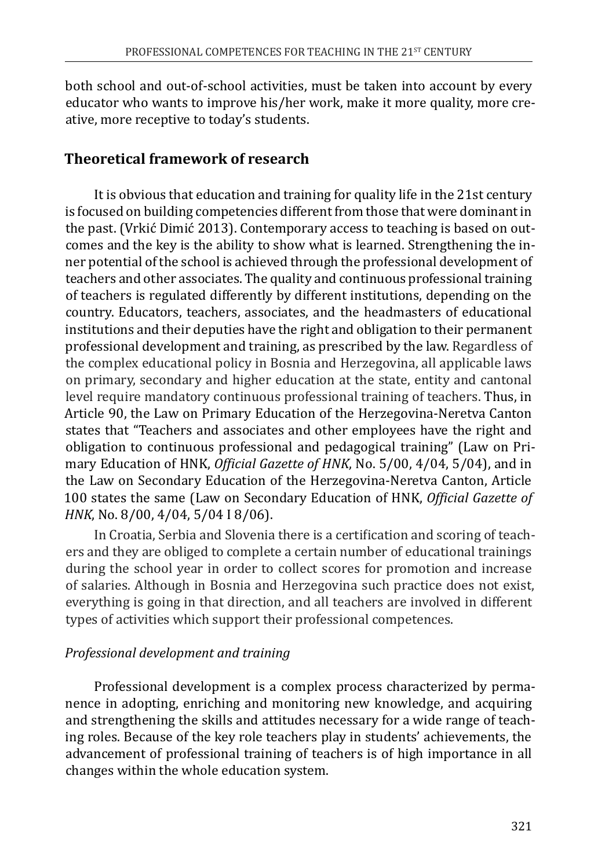both school and out-of-school activities, must be taken into account by every educator who wants to improve his/her work, make it more quality, more creative, more receptive to today's students.

### **Theoretical framework of research**

It is obvious that education and training for quality life in the 21st century is focused on building competencies different from those that were dominant in the past. (Vrkić Dimić 2013). Contemporary access to teaching is based on outcomes and the key is the ability to show what is learned. Strengthening the inner potential of the school is achieved through the professional development of teachers and other associates. The quality and continuous professional training of teachers is regulated differently by different institutions, depending on the country. Educators, teachers, associates, and the headmasters of educational institutions and their deputies have the right and obligation to their permanent professional development and training, as prescribed by the law. Regardless of the complex educational policy in Bosnia and Herzegovina, all applicable laws on primary, secondary and higher education at the state, entity and cantonal level require mandatory continuous professional training of teachers. Thus, in Article 90, the Law on Primary Education of the Herzegovina-Neretva Canton states that "Teachers and associates and other employees have the right and obligation to continuous professional and pedagogical training" (Law on Primary Education of HNK, *Official Gazette of HNK*, No. 5/00, 4/04, 5/04), and in the Law on Secondary Education of the Herzegovina-Neretva Canton, Article 100 states the same (Law on Secondary Education of HNK, *Official Gazette of HNK*, No. 8/00, 4/04, 5/04 I 8/06).

In Croatia, Serbia and Slovenia there is a certification and scoring of teachers and they are obliged to complete a certain number of educational trainings during the school year in order to collect scores for promotion and increase of salaries. Although in Bosnia and Herzegovina such practice does not exist, everything is going in that direction, and all teachers are involved in different types of activities which support their professional competences.

#### *Professional development and training*

Professional development is a complex process characterized by permanence in adopting, enriching and monitoring new knowledge, and acquiring and strengthening the skills and attitudes necessary for a wide range of teaching roles. Because of the key role teachers play in students' achievements, the advancement of professional training of teachers is of high importance in all changes within the whole education system.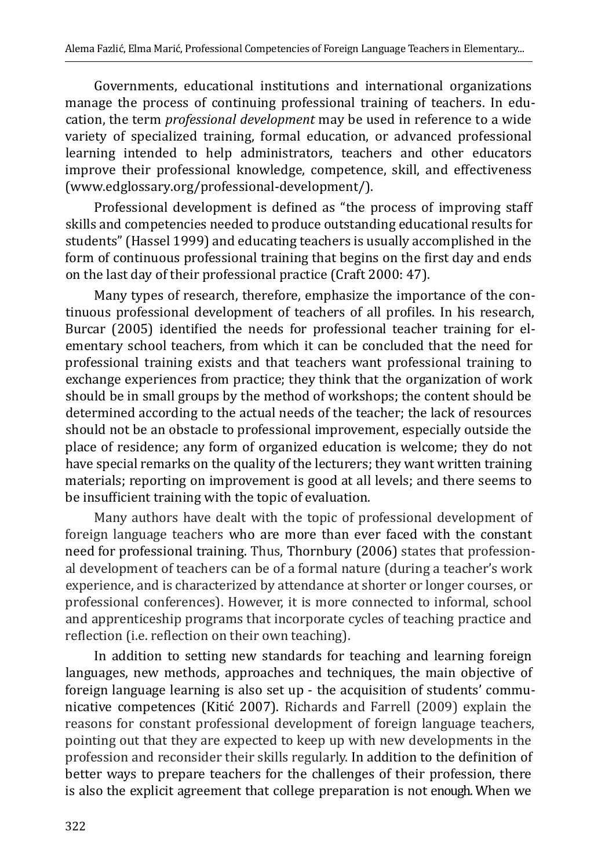Governments, educational institutions and international organizations manage the process of continuing professional training of teachers. In education, the term *professional development* may be used in reference to a wide variety of specialized training, formal education, or advanced professional learning intended to help administrators, teachers and other educators improve their professional knowledge, competence, skill, and effectiveness ([www.edglossary.org/professional-development/](http://www.edglossary.org/professional-development/)).

Professional development is defined as "the process of improving staff skills and competencies needed to produce outstanding educational results for students" (Hassel 1999) and educating teachers is usually accomplished in the form of continuous professional training that begins on the first day and ends on the last day of their professional practice (Craft 2000: 47).

Many types of research, therefore, emphasize the importance of the continuous professional development of teachers of all profiles. In his research, Burcar (2005) identified the needs for professional teacher training for elementary school teachers, from which it can be concluded that the need for professional training exists and that teachers want professional training to exchange experiences from practice; they think that the organization of work should be in small groups by the method of workshops; the content should be determined according to the actual needs of the teacher; the lack of resources should not be an obstacle to professional improvement, especially outside the place of residence; any form of organized education is welcome; they do not have special remarks on the quality of the lecturers; they want written training materials; reporting on improvement is good at all levels; and there seems to be insufficient training with the topic of evaluation.

Many authors have dealt with the topic of professional development of foreign language teachers who are more than ever faced with the constant need for professional training. Thus, Thornbury (2006) states that professional development of teachers can be of a formal nature (during a teacher's work experience, and is characterized by attendance at shorter or longer courses, or professional conferences). However, it is more connected to informal, school and apprenticeship programs that incorporate cycles of teaching practice and reflection (i.e. reflection on their own teaching).

In addition to setting new standards for teaching and learning foreign languages, new methods, approaches and techniques, the main objective of foreign language learning is also set up - the acquisition of students' communicative competences (Kitić 2007). Richards and Farrell (2009) explain the reasons for constant professional development of foreign language teachers, pointing out that they are expected to keep up with new developments in the profession and reconsider their skills regularly. In addition to the definition of better ways to prepare teachers for the challenges of their profession, there is also the explicit agreement that college preparation is not enough. When we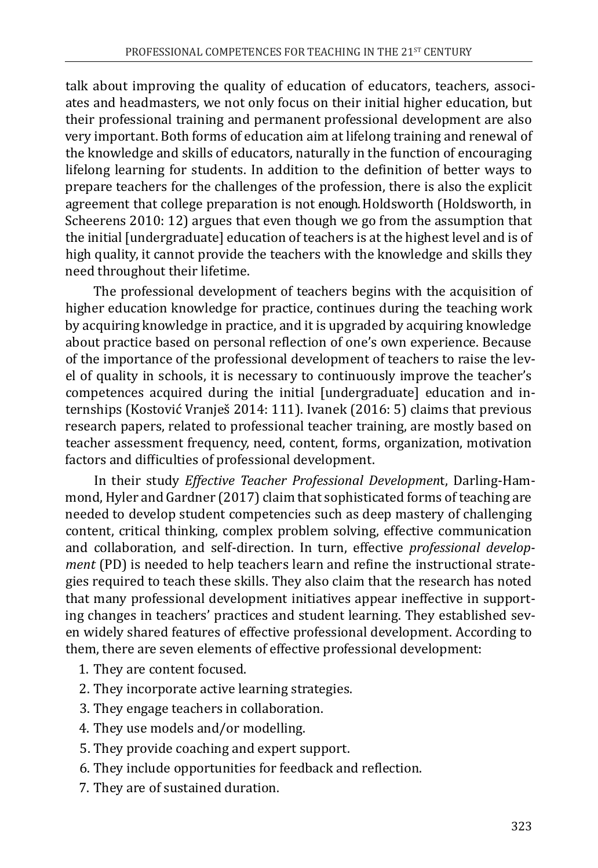talk about improving the quality of education of educators, teachers, associates and headmasters, we not only focus on their initial higher education, but their professional training and permanent professional development are also very important. Both forms of education aim at lifelong training and renewal of the knowledge and skills of educators, naturally in the function of encouraging lifelong learning for students. In addition to the definition of better ways to prepare teachers for the challenges of the profession, there is also the explicit agreement that college preparation is not enough. Holdsworth (Holdsworth, in Scheerens 2010: 12) argues that even though we go from the assumption that the initial [undergraduate] education of teachers is at the highest level and is of high quality, it cannot provide the teachers with the knowledge and skills they need throughout their lifetime.

The professional development of teachers begins with the acquisition of higher education knowledge for practice, continues during the teaching work by acquiring knowledge in practice, and it is upgraded by acquiring knowledge about practice based on personal reflection of one's own experience. Because of the importance of the professional development of teachers to raise the level of quality in schools, it is necessary to continuously improve the teacher's competences acquired during the initial [undergraduate] education and internships (Kostović Vranješ 2014: 111). Ivanek (2016: 5) claims that previous research papers, related to professional teacher training, are mostly based on teacher assessment frequency, need, content, forms, organization, motivation factors and difficulties of professional development.

In their study *Effective Teacher Professional Developmen*t, Darling-Hammond, Hyler and Gardner (2017) claim that sophisticated forms of teaching are needed to develop student competencies such as deep mastery of challenging content, critical thinking, complex problem solving, effective communication and collaboration, and self-direction. In turn, effective *professional development* (PD) is needed to help teachers learn and refine the instructional strategies required to teach these skills. They also claim that the research has noted that many professional development initiatives appear ineffective in supporting changes in teachers' practices and student learning. They established seven widely shared features of effective professional development. According to them, there are seven elements of effective professional development:

- 1. They are content focused.
- 2. They incorporate active learning strategies.
- 3. They engage teachers in collaboration.
- 4. They use models and/or modelling.
- 5. They provide coaching and expert support.
- 6. They include opportunities for feedback and reflection.
- 7. They are of sustained duration.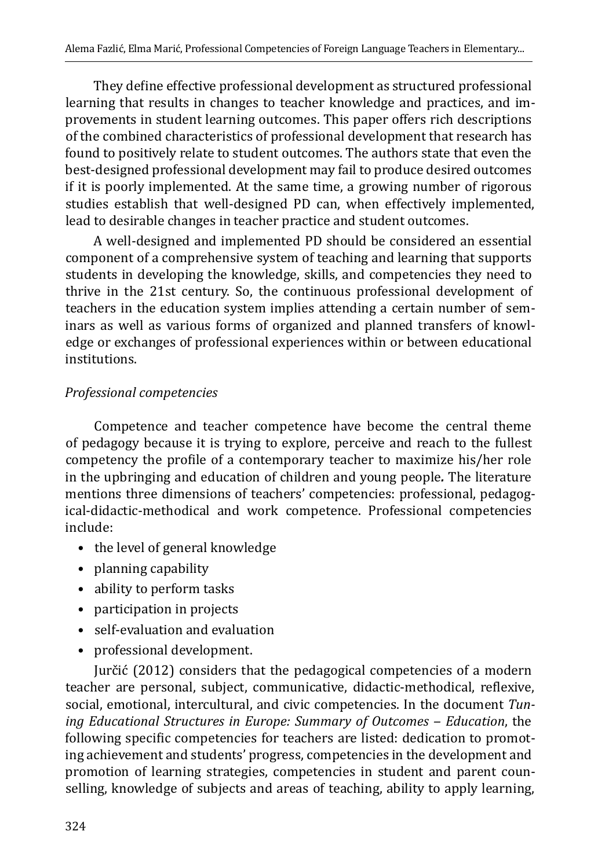They define effective professional development as structured professional learning that results in changes to teacher knowledge and practices, and improvements in student learning outcomes. This paper offers rich descriptions of the combined characteristics of professional development that research has found to positively relate to student outcomes. The authors state that even the best-designed professional development may fail to produce desired outcomes if it is poorly implemented. At the same time, a growing number of rigorous studies establish that well-designed PD can, when effectively implemented, lead to desirable changes in teacher practice and student outcomes.

A well-designed and implemented PD should be considered an essential component of a comprehensive system of teaching and learning that supports students in developing the knowledge, skills, and competencies they need to thrive in the 21st century. So, the continuous professional development of teachers in the education system implies attending a certain number of seminars as well as various forms of organized and planned transfers of knowledge or exchanges of professional experiences within or between educational institutions.

#### *Professional competencies*

Competence and teacher competence have become the central theme of pedagogy because it is trying to explore, perceive and reach to the fullest competency the profile of a contemporary teacher to maximize his/her role in the upbringing and education of children and young people*.* The literature mentions three dimensions of teachers' competencies: professional, pedagogical-didactic-methodical and work competence. Professional competencies include:

- the level of general knowledge
- planning capability
- ability to perform tasks
- participation in projects
- self-evaluation and evaluation
- professional development.

Jurčić (2012) considers that the pedagogical competencies of a modern teacher are personal, subject, communicative, didactic-methodical, reflexive, social, emotional, intercultural, and civic competencies. In the document *Tuning Educational Structures in Europe: Summary of Outcomes ‒ Education*, the following specific competencies for teachers are listed: dedication to promoting achievement and students' progress, competencies in the development and promotion of learning strategies, competencies in student and parent counselling, knowledge of subjects and areas of teaching, ability to apply learning,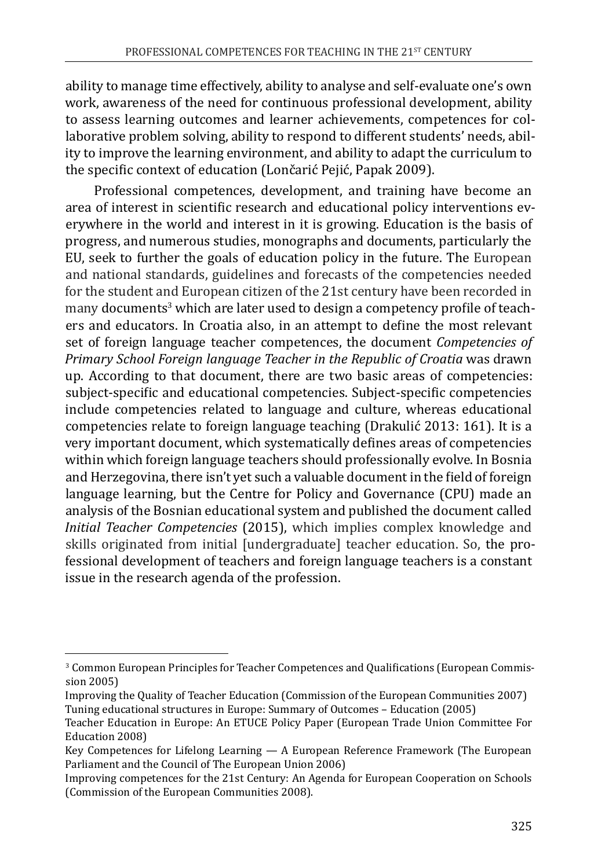ability to manage time effectively, ability to analyse and self-evaluate one's own work, awareness of the need for continuous professional development, ability to assess learning outcomes and learner achievements, competences for collaborative problem solving, ability to respond to different students' needs, ability to improve the learning environment, and ability to adapt the curriculum to the specific context of education (Lončarić Pejić, Papak 2009).

Professional competences, development, and training have become an area of interest in scientific research and educational policy interventions everywhere in the world and interest in it is growing. Education is the basis of progress, and numerous studies, monographs and documents, particularly the EU, seek to further the goals of education policy in the future. The European and national standards, guidelines and forecasts of the competencies needed for the student and European citizen of the 21st century have been recorded in many documents<sup>3</sup> which are later used to design a competency profile of teach<mark>-</mark> ers and educators. In Croatia also, in an attempt to define the most relevant set of foreign language teacher competences, the document *Competencies of Primary School Foreign language Teacher in the Republic of Croatia* was drawn up. According to that document, there are two basic areas of competencies: subject-specific and educational competencies. Subject-specific competencies include competencies related to language and culture, whereas educational competencies relate to foreign language teaching (Drakulić 2013: 161). It is a very important document, which systematically defines areas of competencies within which foreign language teachers should professionally evolve. In Bosnia and Herzegovina, there isn't yet such a valuable document in the field of foreign language learning, but the Centre for Policy and Governance (CPU) made an analysis of the Bosnian educational system and published the document called *Initial Teacher Competencies* (2015), which implies complex knowledge and skills originated from initial [undergraduate] teacher education. So, the professional development of teachers and foreign language teachers is a constant issue in the research agenda of the profession.

<sup>3</sup> Common European Principles for Teacher Competences and Qualifications (European Commission 2005)

Improving the Quality of Teacher Education (Commission of the European Communities 2007) Tuning educational structures in Europe: Summary of Outcomes – Education (2005)

Teacher Education in Europe: An ETUCE Policy Paper (European Trade Union Committee For Education 2008)

Key Competences for Lifelong Learning — A European Reference Framework (The European Parliament and the Council of The European Union 2006)

Improving competences for the 21st Century: An Agenda for European Cooperation on Schools (Commission of the European Communities 2008).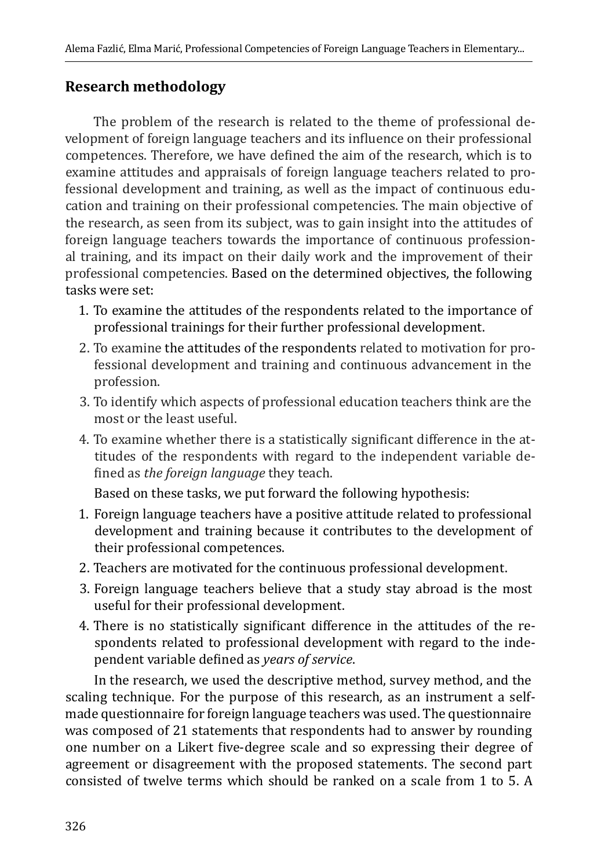### **Research methodology**

The problem of the research is related to the theme of professional development of foreign language teachers and its influence on their professional competences. Therefore, we have defined the aim of the research, which is to examine attitudes and appraisals of foreign language teachers related to professional development and training, as well as the impact of continuous education and training on their professional competencies. The main objective of the research, as seen from its subject, was to gain insight into the attitudes of foreign language teachers towards the importance of continuous professional training, and its impact on their daily work and the improvement of their professional competencies. Based on the determined objectives, the following tasks were set:

- 1. To examine the attitudes of the respondents related to the importance of professional trainings for their further professional development.
- 2. To examine the attitudes of the respondents related to motivation for professional development and training and continuous advancement in the profession.
- 3. To identify which aspects of professional education teachers think are the most or the least useful.
- 4. To examine whether there is a statistically significant difference in the attitudes of the respondents with regard to the independent variable defined as *the foreign language* they teach.

Based on these tasks, we put forward the following hypothesis:

- 1. Foreign language teachers have a positive attitude related to professional development and training because it contributes to the development of their professional competences.
- 2. Teachers are motivated for the continuous professional development.
- 3. Foreign language teachers believe that a study stay abroad is the most useful for their professional development.
- 4. There is no statistically significant difference in the attitudes of the respondents related to professional development with regard to the independent variable defined as *years of service*.

In the research, we used the descriptive method, survey method, and the scaling technique. For the purpose of this research, as an instrument a selfmade questionnaire for foreign language teachers was used. The questionnaire was composed of 21 statements that respondents had to answer by rounding one number on a Likert five-degree scale and so expressing their degree of agreement or disagreement with the proposed statements. The second part consisted of twelve terms which should be ranked on a scale from 1 to 5. A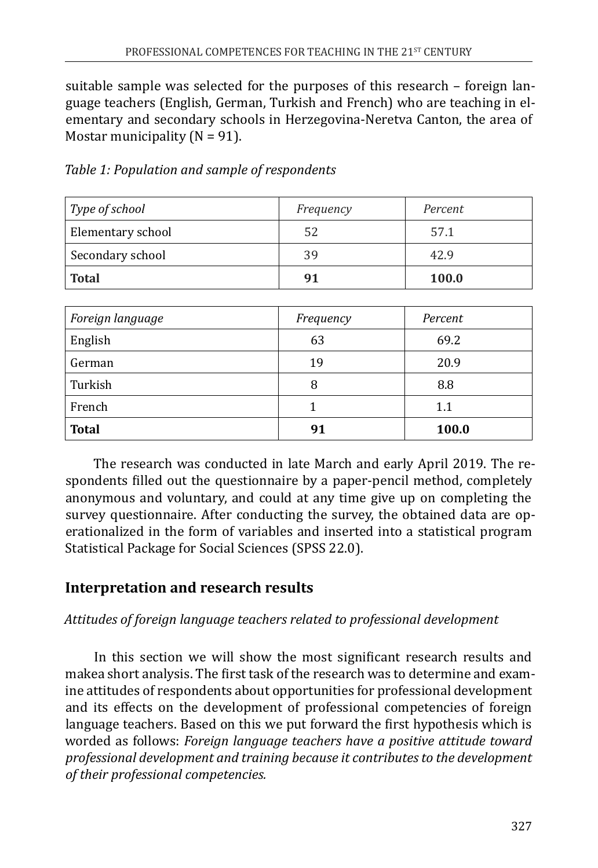suitable sample was selected for the purposes of this research – foreign language teachers (English, German, Turkish and French) who are teaching in elementary and secondary schools in Herzegovina-Neretva Canton, the area of Mostar municipality  $(N = 91)$ .

| Type of school    | Frequency | Percent |
|-------------------|-----------|---------|
| Elementary school | 52        | 57.1    |
| Secondary school  | 39        | 42.9    |
| <b>Total</b>      | 91        | 100.0   |

*Table 1: Population and sample of respondents*

| Foreign language | Frequency | Percent |
|------------------|-----------|---------|
| English          | 63        | 69.2    |
| German           | 19        | 20.9    |
| Turkish          | 8         | 8.8     |
| French           |           | 1.1     |
| <b>Total</b>     | 91        | 100.0   |

The research was conducted in late March and early April 2019. The respondents filled out the questionnaire by a paper-pencil method, completely anonymous and voluntary, and could at any time give up on completing the survey questionnaire. After conducting the survey, the obtained data are operationalized in the form of variables and inserted into a statistical program Statistical Package for Social Sciences (SPSS 22.0).

# **Interpretation and research results**

### *Attitudes of foreign language teachers related to professional development*

In this section we will show the most significant research results and makea short analysis. The first task of the research was to determine and examine attitudes of respondents about opportunities for professional development and its effects on the development of professional competencies of foreign language teachers. Based on this we put forward the first hypothesis which is worded as follows: *Foreign language teachers have a positive attitude toward professional development and training because it contributes to the development of their professional competencies.*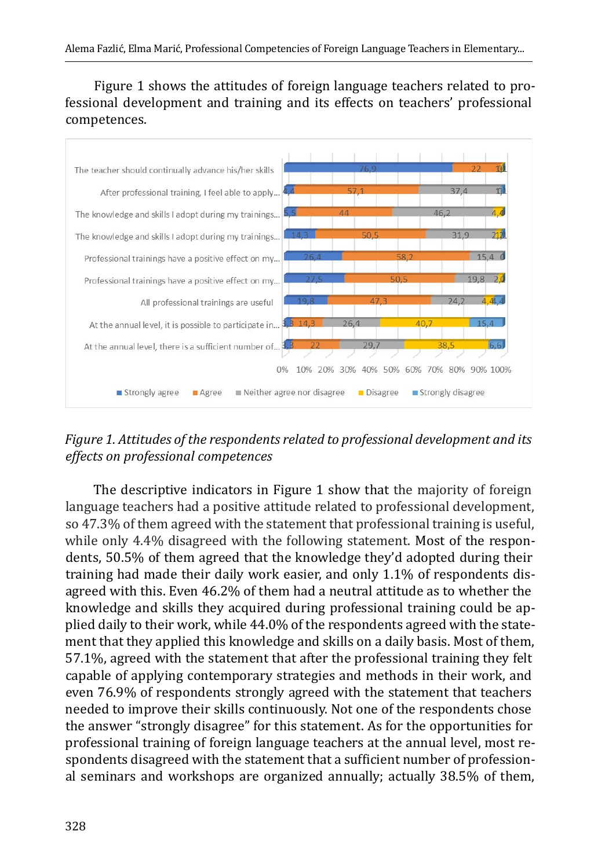Figure 1 shows the attitudes of foreign language teachers related to professional development and training and its effects on teachers' professional competences.



*Figure 1. Attitudes of the respondents related to professional development and its effects on professional competences*

The descriptive indicators in Figure 1 show that the majority of foreign language teachers had a positive attitude related to professional development, so 47.3% of them agreed with the statement that professional training is useful, while only 4.4% disagreed with the following statement. Most of the respondents, 50.5% of them agreed that the knowledge they'd adopted during their training had made their daily work easier, and only 1.1% of respondents disagreed with this. Even 46.2% of them had a neutral attitude as to whether the knowledge and skills they acquired during professional training could be applied daily to their work, while 44.0% of the respondents agreed with the statement that they applied this knowledge and skills on a daily basis. Most of them, 57.1%, agreed with the statement that after the professional training they felt capable of applying contemporary strategies and methods in their work, and even 76.9% of respondents strongly agreed with the statement that teachers needed to improve their skills continuously. Not one of the respondents chose the answer "strongly disagree" for this statement. As for the opportunities for professional training of foreign language teachers at the annual level, most respondents disagreed with the statement that a sufficient number of professional seminars and workshops are organized annually; actually 38.5% of them,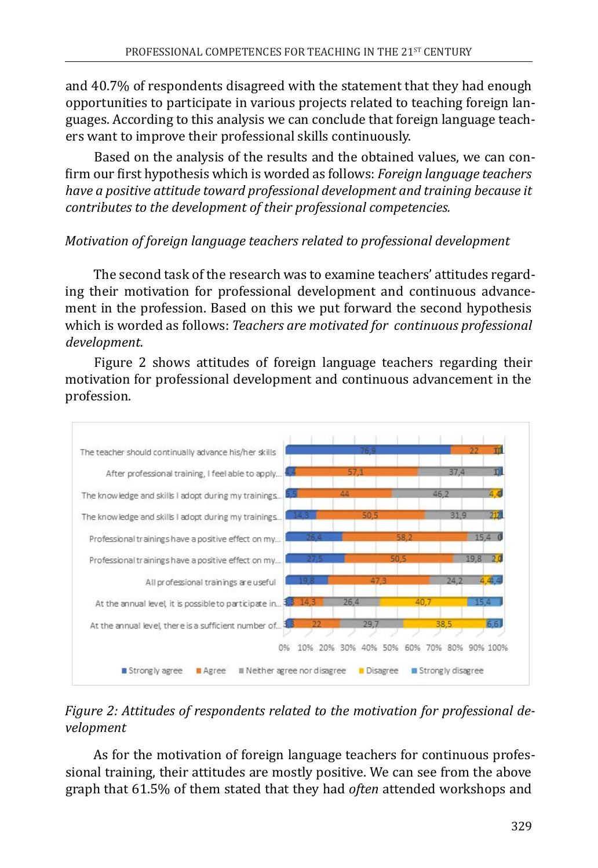and 40.7% of respondents disagreed with the statement that they had enough opportunities to participate in various projects related to teaching foreign languages. According to this analysis we can conclude that foreign language teachers want to improve their professional skills continuously.

Based on the analysis of the results and the obtained values, we can confirm our first hypothesis which is worded as follows: *Foreign language teachers have a positive attitude toward professional development and training because it contributes to the development of their professional competencies.* 

#### *Motivation of foreign language teachers related to professional development*

The second task of the research was to examine teachers' attitudes regarding their motivation for professional development and continuous advancement in the profession. Based on this we put forward the second hypothesis which is worded as follows: *Teachers are motivated for continuous professional development.*

Figure 2 shows attitudes of foreign language teachers regarding their motivation for professional development and continuous advancement in the profession.



### *Figure 2: Attitudes of respondents related to the motivation for professional development*

As for the motivation of foreign language teachers for continuous professional training, their attitudes are mostly positive. We can see from the above graph that 61.5% of them stated that they had *often* attended workshops and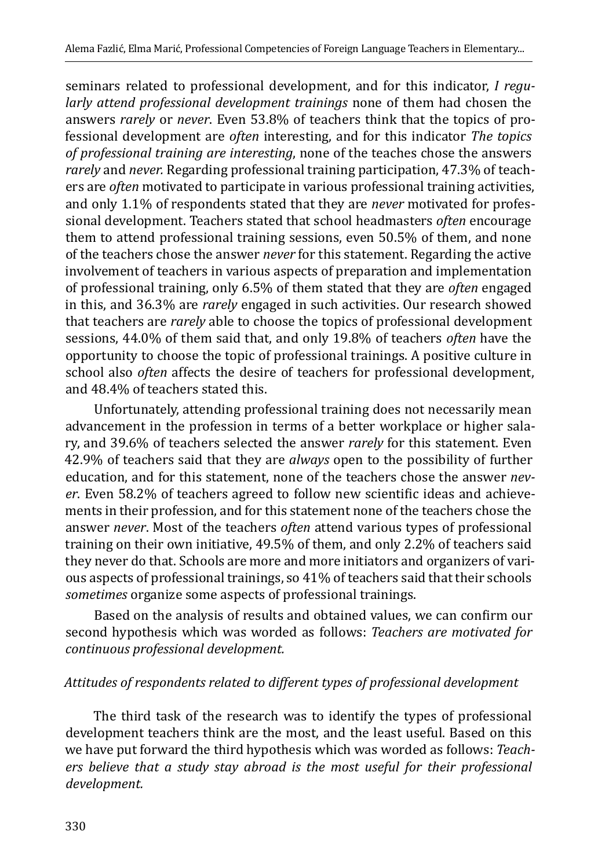seminars related to professional development, and for this indicator, *I regularly attend professional development trainings* none of them had chosen the answers *rarely* or *never*. Even 53.8% of teachers think that the topics of professional development are *often* interesting, and for this indicator *The topics of professional training are interesting*, none of the teaches chose the answers *rarely* and *never.* Regarding professional training participation, 47.3% of teachers are *often* motivated to participate in various professional training activities, and only 1.1% of respondents stated that they are *never* motivated for professional development. Teachers stated that school headmasters *often* encourage them to attend professional training sessions, even 50.5% of them, and none of the teachers chose the answer *never* for this statement. Regarding the active involvement of teachers in various aspects of preparation and implementation of professional training, only 6.5% of them stated that they are *often* engaged in this, and 36.3% are *rarely* engaged in such activities. Our research showed that teachers are *rarely* able to choose the topics of professional development sessions, 44.0% of them said that, and only 19.8% of teachers *often* have the opportunity to choose the topic of professional trainings. A positive culture in school also *often* affects the desire of teachers for professional development, and 48.4% of teachers stated this.

Unfortunately, attending professional training does not necessarily mean advancement in the profession in terms of a better workplace or higher salary, and 39.6% of teachers selected the answer *rarely* for this statement. Even 42.9% of teachers said that they are *always* open to the possibility of further education, and for this statement, none of the teachers chose the answer *never*. Even 58.2% of teachers agreed to follow new scientific ideas and achievements in their profession, and for this statement none of the teachers chose the answer *never*. Most of the teachers *often* attend various types of professional training on their own initiative, 49.5% of them, and only 2.2% of teachers said they never do that. Schools are more and more initiators and organizers of various aspects of professional trainings, so 41% of teachers said that their schools *sometimes* organize some aspects of professional trainings.

Based on the analysis of results and obtained values, we can confirm our second hypothesis which was worded as follows: *Teachers are motivated for continuous professional development.*

#### *Attitudes of respondents related to different types of professional development*

The third task of the research was to identify the types of professional development teachers think are the most, and the least useful. Based on this we have put forward the third hypothesis which was worded as follows: *Teachers believe that a study stay abroad is the most useful for their professional development.*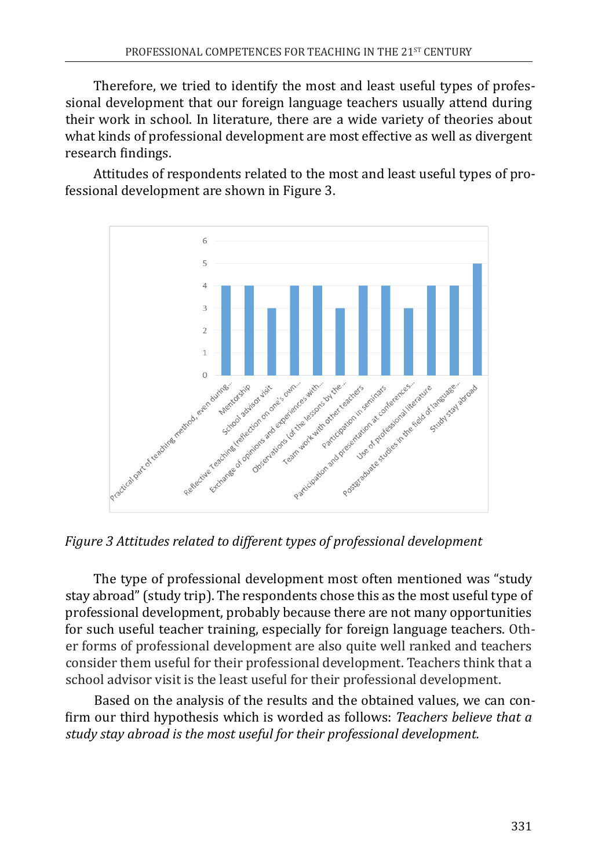Therefore, we tried to identify the most and least useful types of professional development that our foreign language teachers usually attend during their work in school. In literature, there are a wide variety of theories about what kinds of professional development are most effective as well as divergent research findings.

Attitudes of respondents related to the most and least useful types of professional development are shown in Figure 3.



*Figure 3 Attitudes related to different types of professional development*

The type of professional development most often mentioned was "study stay abroad" (study trip). The respondents chose this as the most useful type of professional development, probably because there are not many opportunities for such useful teacher training, especially for foreign language teachers. Other forms of professional development are also quite well ranked and teachers consider them useful for their professional development. Teachers think that a school advisor visit is the least useful for their professional development.

Based on the analysis of the results and the obtained values, we can confirm our third hypothesis which is worded as follows: *Teachers believe that a study stay abroad is the most useful for their professional development.*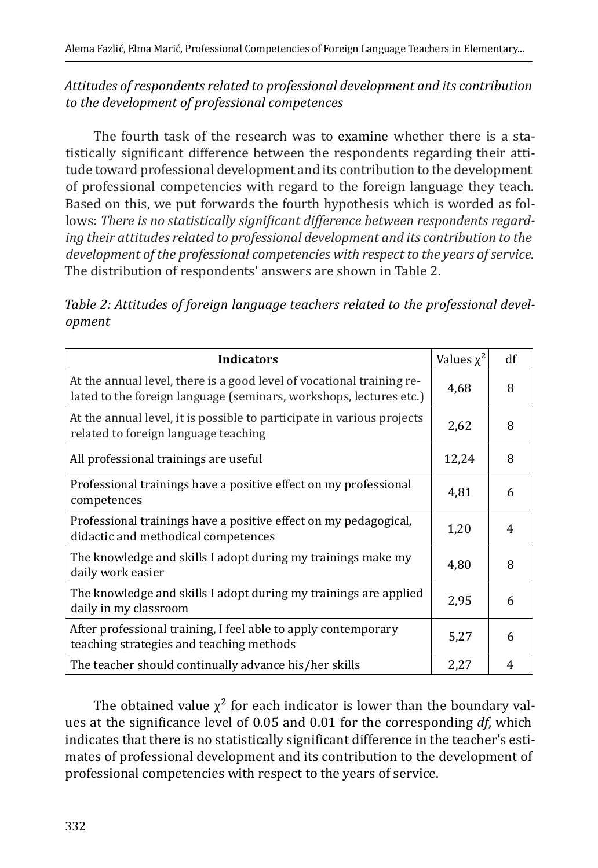#### *Attitudes of respondents related to professional development and its contribution to the development of professional competences*

The fourth task of the research was to examine whether there is a statistically significant difference between the respondents regarding their attitude toward professional development and its contribution to the development of professional competencies with regard to the foreign language they teach. Based on this, we put forwards the fourth hypothesis which is worded as follows: *There is no statistically significant difference between respondents regarding their attitudes related to professional development and its contribution to the development of the professional competencies with respect to the years of service*. The distribution of respondents' answers are shown in Table 2.

*Table 2: Attitudes of foreign language teachers related to the professional development*

| <b>Indicators</b>                                                                                                                           | Values $\chi^2$ | df |
|---------------------------------------------------------------------------------------------------------------------------------------------|-----------------|----|
| At the annual level, there is a good level of vocational training re-<br>lated to the foreign language (seminars, workshops, lectures etc.) | 4,68            | 8  |
| At the annual level, it is possible to participate in various projects<br>related to foreign language teaching                              | 2,62            | 8  |
| All professional trainings are useful                                                                                                       | 12,24           | 8  |
| Professional trainings have a positive effect on my professional<br>competences                                                             | 4,81            | 6  |
| Professional trainings have a positive effect on my pedagogical,<br>didactic and methodical competences                                     | 1,20            | 4  |
| The knowledge and skills I adopt during my trainings make my<br>daily work easier                                                           | 4,80            | 8  |
| The knowledge and skills I adopt during my trainings are applied<br>daily in my classroom                                                   | 2,95            | 6  |
| After professional training, I feel able to apply contemporary<br>teaching strategies and teaching methods                                  |                 | 6  |
| The teacher should continually advance his/her skills                                                                                       | 2,27            | 4  |

The obtained value  $\chi^2$  for each indicator is lower than the boundary values at the significance level of 0.05 and 0.01 for the corresponding *df*, which indicates that there is no statistically significant difference in the teacher's estimates of professional development and its contribution to the development of professional competencies with respect to the years of service.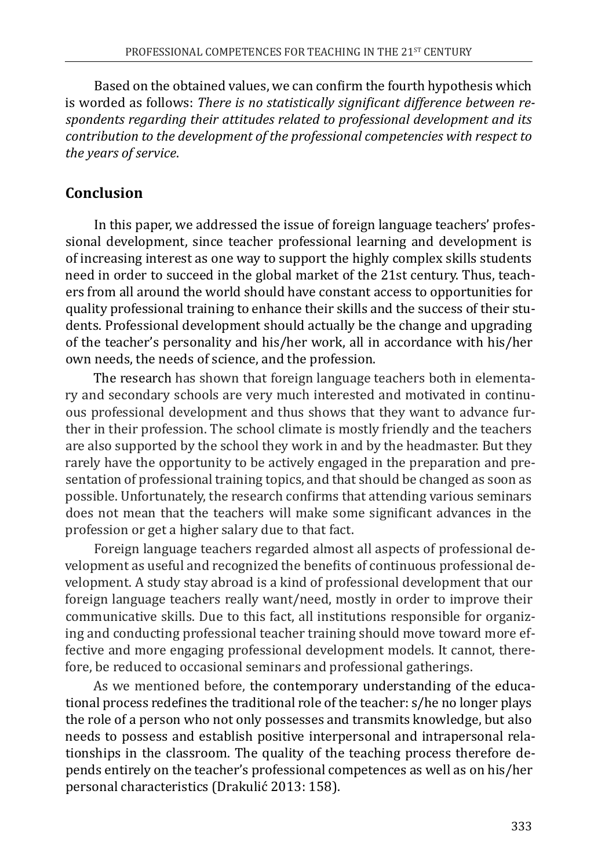Based on the obtained values, we can confirm the fourth hypothesis which is worded as follows: *There is no statistically significant difference between respondents regarding their attitudes related to professional development and its contribution to the development of the professional competencies with respect to the years of service*.

# **Conclusion**

In this paper, we addressed the issue of foreign language teachers' professional development, since teacher professional learning and development is of increasing interest as one way to support the highly complex skills students need in order to succeed in the global market of the 21st century. Thus, teachers from all around the world should have constant access to opportunities for quality professional training to enhance their skills and the success of their students. Professional development should actually be the change and upgrading of the teacher's personality and his/her work, all in accordance with his/her own needs, the needs of science, and the profession.

The research has shown that foreign language teachers both in elementary and secondary schools are very much interested and motivated in continuous professional development and thus shows that they want to advance further in their profession. The school climate is mostly friendly and the teachers are also supported by the school they work in and by the headmaster. But they rarely have the opportunity to be actively engaged in the preparation and presentation of professional training topics, and that should be changed as soon as possible. Unfortunately, the research confirms that attending various seminars does not mean that the teachers will make some significant advances in the profession or get a higher salary due to that fact.

Foreign language teachers regarded almost all aspects of professional development as useful and recognized the benefits of continuous professional development. A study stay abroad is a kind of professional development that our foreign language teachers really want/need, mostly in order to improve their communicative skills. Due to this fact, all institutions responsible for organizing and conducting professional teacher training should move toward more effective and more engaging professional development models. It cannot, therefore, be reduced to occasional seminars and professional gatherings.

As we mentioned before, the contemporary understanding of the educational process redefines the traditional role of the teacher: s/he no longer plays the role of a person who not only possesses and transmits knowledge, but also needs to possess and establish positive interpersonal and intrapersonal relationships in the classroom. The quality of the teaching process therefore depends entirely on the teacher's professional competences as well as on his/her personal characteristics (Drakulić 2013: 158).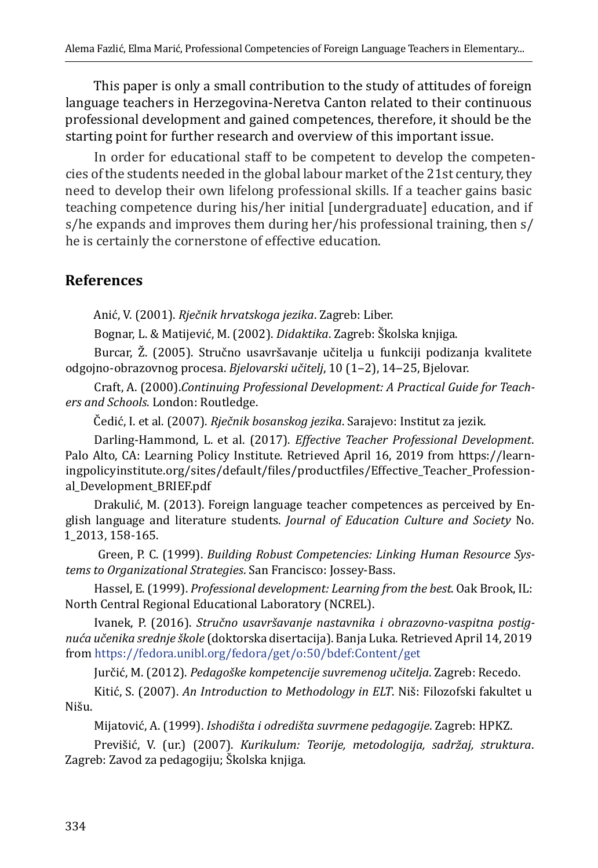This paper is only a small contribution to the study of attitudes of foreign language teachers in Herzegovina-Neretva Canton related to their continuous professional development and gained competences, therefore, it should be the starting point for further research and overview of this important issue.

In order for educational staff to be competent to develop the competencies of the students needed in the global labour market of the 21st century, they need to develop their own lifelong professional skills. If a teacher gains basic teaching competence during his/her initial [undergraduate] education, and if s/he expands and improves them during her/his professional training, then s/ he is certainly the cornerstone of effective education.

### **References**

Anić, V. (2001). *Rječnik hrvatskoga jezika*. Zagreb: Liber.

Bognar, L. & Matijević, M. (2002). *Didaktika*. Zagreb: Školska knjiga.

Burcar, Ž. (2005). Stručno usavršavanje učitelja u funkciji podizanja kvalitete odgojno-obrazovnog procesa. *Bjelovarski učitelj*, 10 (1‒2), 14‒25, Bjelovar.

Craft, A. (2000).*Continuing Professional Development: A Practical Guide for Teachers and Schools*. London: Routledge.

Čedić, I. et al. (2007). *Rječnik bosanskog jezika*. Sarajevo: Institut za jezik.

Darling-Hammond, L. et al. (2017). *Effective Teacher Professional Development*. Palo Alto, CA: Learning Policy Institute. Retrieved April 16, 2019 from [https://learn](https://learningpolicyinstitute.org/sites/default/files/productfiles/Effective_Teacher_Professional_Development_BRIEF.pdf)[ingpolicyinstitute.org/sites/default/files/productfiles/Effective\\_Teacher\\_Profession](https://learningpolicyinstitute.org/sites/default/files/productfiles/Effective_Teacher_Professional_Development_BRIEF.pdf)[al\\_Development\\_BRIEF.pdf](https://learningpolicyinstitute.org/sites/default/files/productfiles/Effective_Teacher_Professional_Development_BRIEF.pdf)

Drakulić, M. (2013). Foreign language teacher competences as perceived by English language and literature students. *Journal of Education Culture and Society* No. 1\_2013, 158-165.

 Green, P. C. (1999). *Building Robust Competencies: Linking Human Resource Systems to Organizational Strategies*. San Francisco: Jossey-Bass.

Hassel, E. (1999). *Professional development: Learning from the best*. Oak Brook, IL: North Central Regional Educational Laboratory (NCREL).

Ivanek, P. (2016). *Stručno usavršavanje nastavnika i obrazovno-vaspitna postignuća učenika srednje škole* (doktorska disertacija). Banja Luka. Retrieved April 14, 2019 from <https://fedora.unibl.org/fedora/get/o:50/bdef:Content/get>

Jurčić, M. (2012). *Pedagoške kompetencije suvremenog učitelja*. Zagreb: Recedo.

Kitić, S. (2007). *An Introduction to Methodology in ELT*. Niš: Filozofski fakultet u Nišu.

Mijatović, A. (1999). *Ishodišta i odredišta suvrmene pedagogije*. Zagreb: HPKZ.

Previšić, V. (ur.) (2007). *Kurikulum: Teorije, metodologija, sadržaj, struktura*. Zagreb: Zavod za pedagogiju; Školska knjiga.